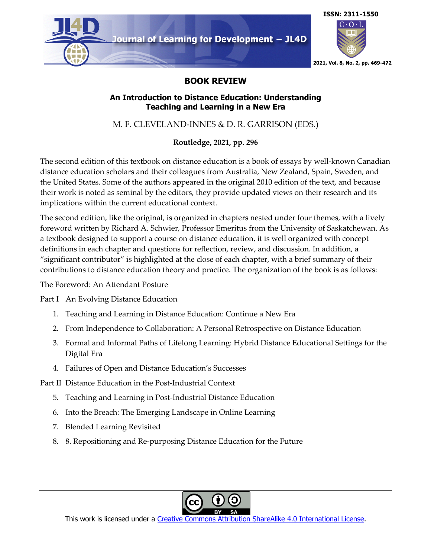

## **BOOK REVIEW**

## **An Introduction to Distance Education: Understanding Teaching and Learning in a New Era**

M. F. CLEVELAND-INNES & D. R. GARRISON (EDS.)

## **Routledge, 2021, pp. 296**

The second edition of this textbook on distance education is a book of essays by well-known Canadian distance education scholars and their colleagues from Australia, New Zealand, Spain, Sweden, and the United States. Some of the authors appeared in the original 2010 edition of the text, and because their work is noted as seminal by the editors, they provide updated views on their research and its implications within the current educational context.

The second edition, like the original, is organized in chapters nested under four themes, with a lively foreword written by Richard A. Schwier, Professor Emeritus from the University of Saskatchewan. As a textbook designed to support a course on distance education, it is well organized with concept definitions in each chapter and questions for reflection, review, and discussion. In addition, a "significant contributor" is highlighted at the close of each chapter, with a brief summary of their contributions to distance education theory and practice. The organization of the book is as follows:

The Foreword: An Attendant Posture

Part I An Evolving Distance Education

- 1. Teaching and Learning in Distance Education: Continue a New Era
- 2. From Independence to Collaboration: A Personal Retrospective on Distance Education
- 3. Formal and Informal Paths of Lifelong Learning: Hybrid Distance Educational Settings for the Digital Era
- 4. Failures of Open and Distance Education's Successes

Part II Distance Education in the Post-Industrial Context

- 5. Teaching and Learning in Post-Industrial Distance Education
- 6. Into the Breach: The Emerging Landscape in Online Learning
- 7. Blended Learning Revisited
- 8. 8. Repositioning and Re-purposing Distance Education for the Future



This work is licensed under a Creative Commons Attribution ShareAlike 4.0 International License.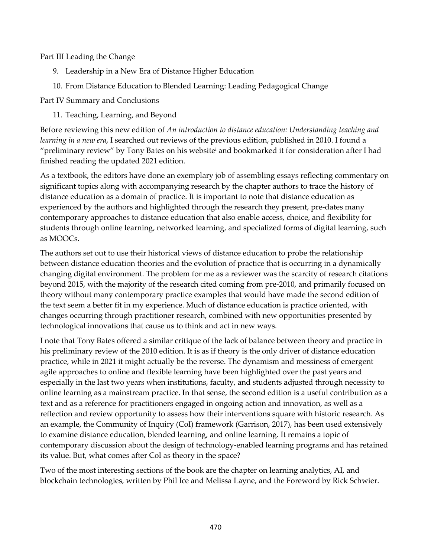Part III Leading the Change

- 9. Leadership in a New Era of Distance Higher Education
- 10. From Distance Education to Blended Learning: Leading Pedagogical Change

Part IV Summary and Conclusions

11. Teaching, Learning, and Beyond

Before reviewing this new edition of *An introduction to distance education: Understanding teaching and learning in a new era*, I searched out reviews of the previous edition, published in 2010. I found a "preliminary review" by Tony Bates on his website<sup>i</sup> and bookmarked it for consideration after I had finished reading the updated 2021 edition.

As a textbook, the editors have done an exemplary job of assembling essays reflecting commentary on significant topics along with accompanying research by the chapter authors to trace the history of distance education as a domain of practice. It is important to note that distance education as experienced by the authors and highlighted through the research they present, pre-dates many contemporary approaches to distance education that also enable access, choice, and flexibility for students through online learning, networked learning, and specialized forms of digital learning, such as MOOCs.

The authors set out to use their historical views of distance education to probe the relationship between distance education theories and the evolution of practice that is occurring in a dynamically changing digital environment. The problem for me as a reviewer was the scarcity of research citations beyond 2015, with the majority of the research cited coming from pre-2010, and primarily focused on theory without many contemporary practice examples that would have made the second edition of the text seem a better fit in my experience. Much of distance education is practice oriented, with changes occurring through practitioner research, combined with new opportunities presented by technological innovations that cause us to think and act in new ways.

I note that Tony Bates offered a similar critique of the lack of balance between theory and practice in his preliminary review of the 2010 edition. It is as if theory is the only driver of distance education practice, while in 2021 it might actually be the reverse. The dynamism and messiness of emergent agile approaches to online and flexible learning have been highlighted over the past years and especially in the last two years when institutions, faculty, and students adjusted through necessity to online learning as a mainstream practice. In that sense, the second edition is a useful contribution as a text and as a reference for practitioners engaged in ongoing action and innovation, as well as a reflection and review opportunity to assess how their interventions square with historic research. As an example, the Community of Inquiry (CoI) framework (Garrison, 2017), has been used extensively to examine distance education, blended learning, and online learning. It remains a topic of contemporary discussion about the design of technology-enabled learning programs and has retained its value. But, what comes after CoI as theory in the space?

Two of the most interesting sections of the book are the chapter on learning analytics, AI, and blockchain technologies, written by Phil Ice and Melissa Layne, and the Foreword by Rick Schwier.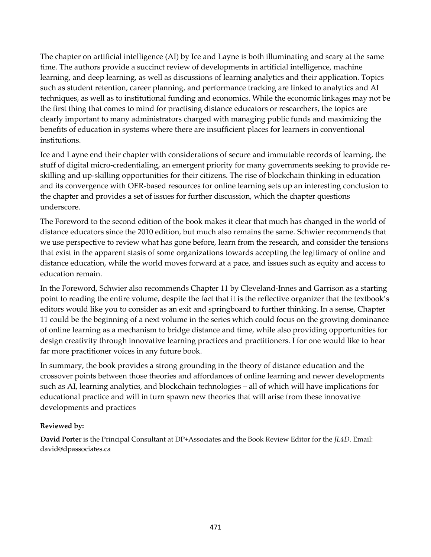The chapter on artificial intelligence (AI) by Ice and Layne is both illuminating and scary at the same time. The authors provide a succinct review of developments in artificial intelligence, machine learning, and deep learning, as well as discussions of learning analytics and their application. Topics such as student retention, career planning, and performance tracking are linked to analytics and AI techniques, as well as to institutional funding and economics. While the economic linkages may not be the first thing that comes to mind for practising distance educators or researchers, the topics are clearly important to many administrators charged with managing public funds and maximizing the benefits of education in systems where there are insufficient places for learners in conventional institutions.

Ice and Layne end their chapter with considerations of secure and immutable records of learning, the stuff of digital micro-credentialing, an emergent priority for many governments seeking to provide reskilling and up-skilling opportunities for their citizens. The rise of blockchain thinking in education and its convergence with OER-based resources for online learning sets up an interesting conclusion to the chapter and provides a set of issues for further discussion, which the chapter questions underscore.

The Foreword to the second edition of the book makes it clear that much has changed in the world of distance educators since the 2010 edition, but much also remains the same. Schwier recommends that we use perspective to review what has gone before, learn from the research, and consider the tensions that exist in the apparent stasis of some organizations towards accepting the legitimacy of online and distance education, while the world moves forward at a pace, and issues such as equity and access to education remain.

In the Foreword, Schwier also recommends Chapter 11 by Cleveland-Innes and Garrison as a starting point to reading the entire volume, despite the fact that it is the reflective organizer that the textbook's editors would like you to consider as an exit and springboard to further thinking. In a sense, Chapter 11 could be the beginning of a next volume in the series which could focus on the growing dominance of online learning as a mechanism to bridge distance and time, while also providing opportunities for design creativity through innovative learning practices and practitioners. I for one would like to hear far more practitioner voices in any future book.

In summary, the book provides a strong grounding in the theory of distance education and the crossover points between those theories and affordances of online learning and newer developments such as AI, learning analytics, and blockchain technologies – all of which will have implications for educational practice and will in turn spawn new theories that will arise from these innovative developments and practices

## **Reviewed by:**

**David Porter** is the Principal Consultant at DP+Associates and the Book Review Editor for the *JL4D*. Email: david@dpassociates.ca